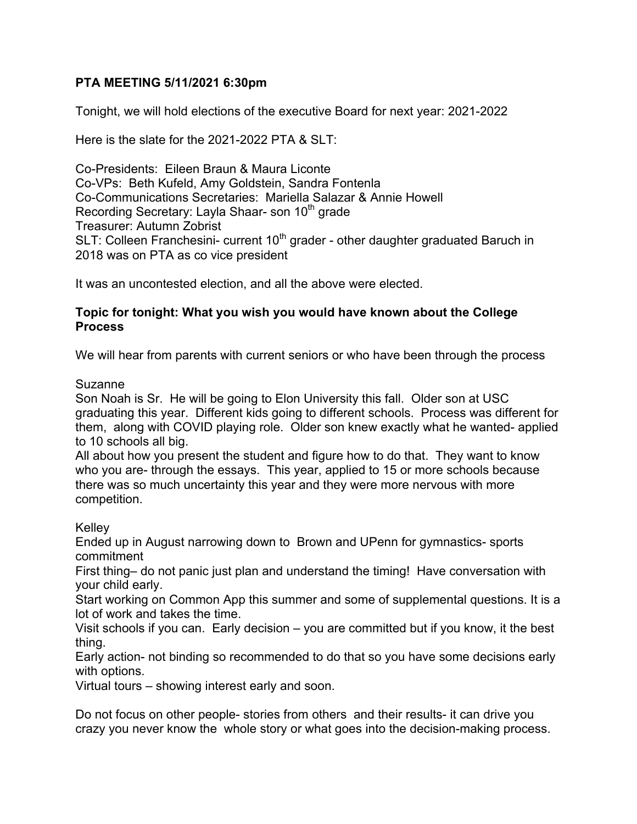## **PTA MEETING 5/11/2021 6:30pm**

Tonight, we will hold elections of the executive Board for next year: 2021-2022

Here is the slate for the 2021-2022 PTA & SLT:

Co-Presidents: Eileen Braun & Maura Liconte Co-VPs: Beth Kufeld, Amy Goldstein, Sandra Fontenla Co-Communications Secretaries: Mariella Salazar & Annie Howell Recording Secretary: Layla Shaar- son 10<sup>th</sup> grade Treasurer: Autumn Zobrist SLT: Colleen Franchesini- current 10<sup>th</sup> grader - other daughter graduated Baruch in 2018 was on PTA as co vice president

It was an uncontested election, and all the above were elected.

## **Topic for tonight: What you wish you would have known about the College Process**

We will hear from parents with current seniors or who have been through the process

## Suzanne

Son Noah is Sr. He will be going to Elon University this fall. Older son at USC graduating this year. Different kids going to different schools. Process was different for them, along with COVID playing role. Older son knew exactly what he wanted- applied to 10 schools all big.

All about how you present the student and figure how to do that. They want to know who you are- through the essays. This year, applied to 15 or more schools because there was so much uncertainty this year and they were more nervous with more competition.

## Kelley

Ended up in August narrowing down to Brown and UPenn for gymnastics- sports commitment

First thing– do not panic just plan and understand the timing! Have conversation with your child early.

Start working on Common App this summer and some of supplemental questions. It is a lot of work and takes the time.

Visit schools if you can. Early decision – you are committed but if you know, it the best thing.

Early action- not binding so recommended to do that so you have some decisions early with options.

Virtual tours – showing interest early and soon.

Do not focus on other people- stories from others and their results- it can drive you crazy you never know the whole story or what goes into the decision-making process.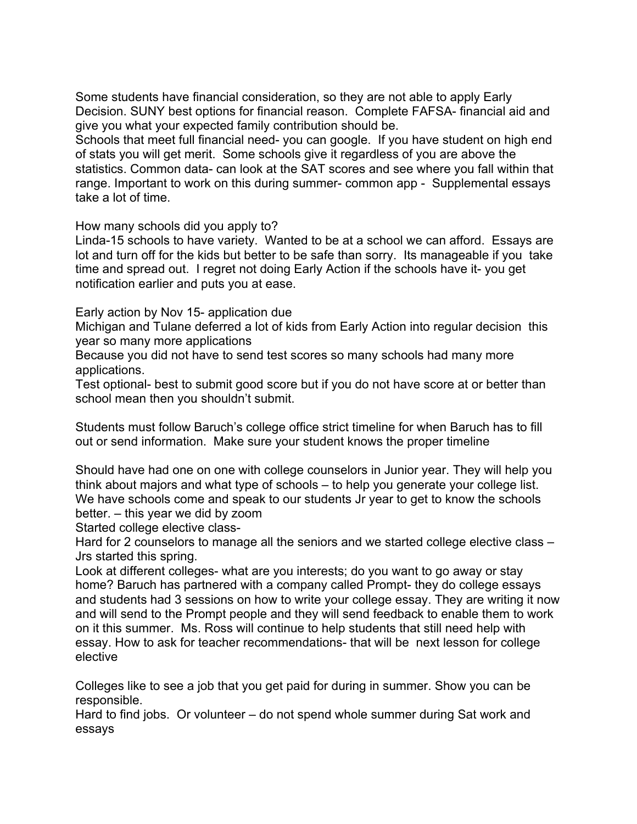Some students have financial consideration, so they are not able to apply Early Decision. SUNY best options for financial reason. Complete FAFSA- financial aid and give you what your expected family contribution should be.

Schools that meet full financial need- you can google. If you have student on high end of stats you will get merit. Some schools give it regardless of you are above the statistics. Common data- can look at the SAT scores and see where you fall within that range. Important to work on this during summer- common app - Supplemental essays take a lot of time.

How many schools did you apply to?

Linda-15 schools to have variety. Wanted to be at a school we can afford. Essays are lot and turn off for the kids but better to be safe than sorry. Its manageable if you take time and spread out. I regret not doing Early Action if the schools have it- you get notification earlier and puts you at ease.

Early action by Nov 15- application due

Michigan and Tulane deferred a lot of kids from Early Action into regular decision this year so many more applications

Because you did not have to send test scores so many schools had many more applications.

Test optional- best to submit good score but if you do not have score at or better than school mean then you shouldn't submit.

Students must follow Baruch's college office strict timeline for when Baruch has to fill out or send information. Make sure your student knows the proper timeline

Should have had one on one with college counselors in Junior year. They will help you think about majors and what type of schools – to help you generate your college list. We have schools come and speak to our students Jr year to get to know the schools better. – this year we did by zoom

Started college elective class-

Hard for 2 counselors to manage all the seniors and we started college elective class – Jrs started this spring.

Look at different colleges- what are you interests; do you want to go away or stay home? Baruch has partnered with a company called Prompt- they do college essays and students had 3 sessions on how to write your college essay. They are writing it now and will send to the Prompt people and they will send feedback to enable them to work on it this summer. Ms. Ross will continue to help students that still need help with essay. How to ask for teacher recommendations- that will be next lesson for college elective

Colleges like to see a job that you get paid for during in summer. Show you can be responsible.

Hard to find jobs. Or volunteer – do not spend whole summer during Sat work and essays